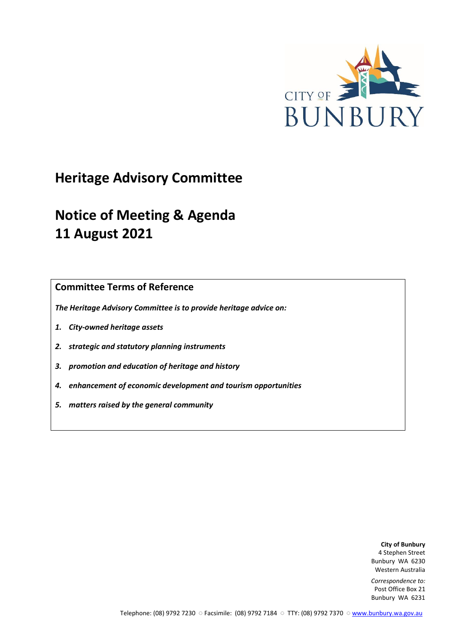

# **Heritage Advisory Committee**

# **Notice of Meeting & Agenda 11 August 2021**

**Committee Terms of Reference**

*The Heritage Advisory Committee is to provide heritage advice on:*

- *1. City-owned heritage assets*
- *2. strategic and statutory planning instruments*
- *3. promotion and education of heritage and history*
- *4. enhancement of economic development and tourism opportunities*
- *5. matters raised by the general community*

**City of Bunbury** 4 Stephen Street Bunbury WA 6230 Western Australia

*Correspondence to:* Post Office Box 21 Bunbury WA 6231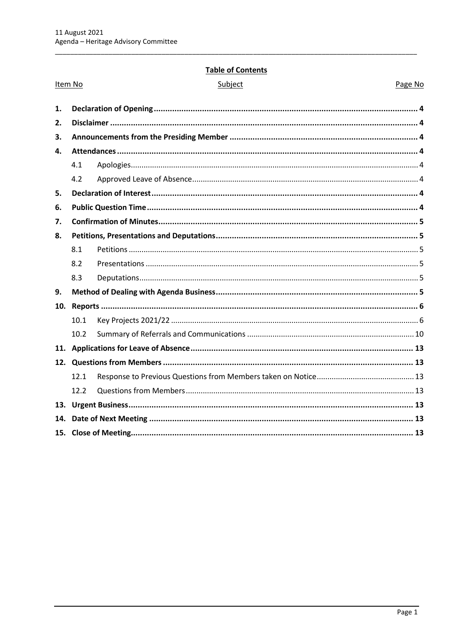## **Table of Contents**

|    | Item No           | Subject | Page No |
|----|-------------------|---------|---------|
| 1. |                   |         |         |
| 2. |                   |         |         |
| 3. |                   |         |         |
| 4. |                   |         |         |
|    | 4.1               |         |         |
|    | 4.2               |         |         |
| 5. |                   |         |         |
| 6. |                   |         |         |
| 7. |                   |         |         |
| 8. |                   |         |         |
|    | 8.1               |         |         |
|    | 8.2               |         |         |
|    | 8.3               |         |         |
| 9. |                   |         |         |
|    |                   |         |         |
|    | 10.1              |         |         |
|    | 10.2 <sub>2</sub> |         |         |
|    |                   |         |         |
|    |                   |         |         |
|    | 12.1              |         |         |
|    | 12.2              |         |         |
|    |                   |         |         |
|    |                   |         |         |
|    |                   |         |         |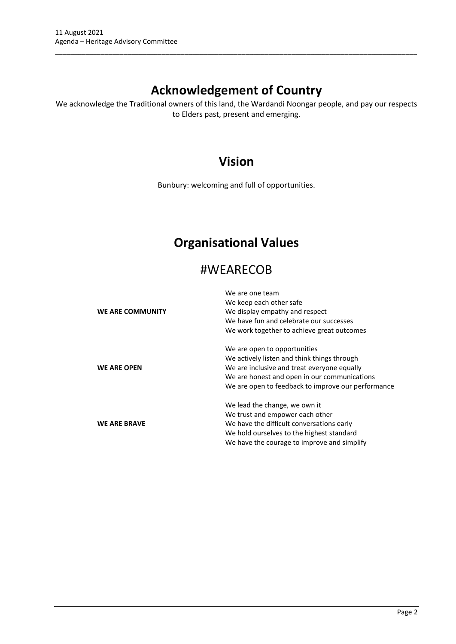## **Acknowledgement of Country**

\_\_\_\_\_\_\_\_\_\_\_\_\_\_\_\_\_\_\_\_\_\_\_\_\_\_\_\_\_\_\_\_\_\_\_\_\_\_\_\_\_\_\_\_\_\_\_\_\_\_\_\_\_\_\_\_\_\_\_\_\_\_\_\_\_\_\_\_\_\_\_\_\_\_\_\_\_\_\_\_\_\_\_\_\_\_\_\_\_\_\_\_\_\_\_

We acknowledge the Traditional owners of this land, the Wardandi Noongar people, and pay our respects to Elders past, present and emerging.

## **Vision**

Bunbury: welcoming and full of opportunities.

## **Organisational Values**

## #WEARECOB

|                     | We are one team                                    |
|---------------------|----------------------------------------------------|
|                     | We keep each other safe                            |
| WE ARE COMMUNITY    | We display empathy and respect                     |
|                     | We have fun and celebrate our successes            |
|                     | We work together to achieve great outcomes         |
|                     | We are open to opportunities                       |
|                     | We actively listen and think things through        |
| <b>WE ARE OPEN</b>  | We are inclusive and treat everyone equally        |
|                     | We are honest and open in our communications       |
|                     | We are open to feedback to improve our performance |
|                     | We lead the change, we own it                      |
|                     | We trust and empower each other                    |
| <b>WE ARE BRAVE</b> | We have the difficult conversations early          |
|                     | We hold ourselves to the highest standard          |
|                     | We have the courage to improve and simplify        |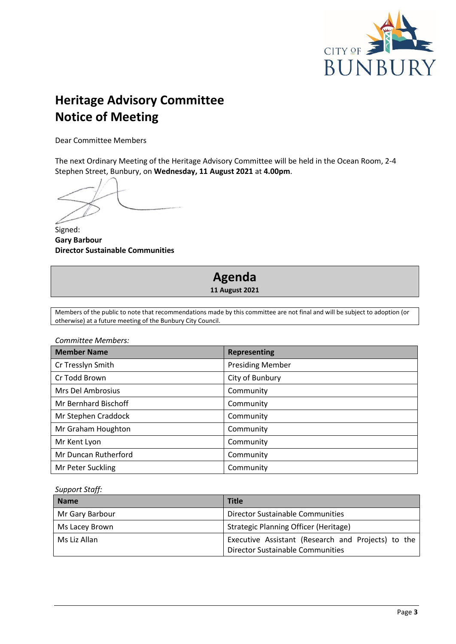

# **Heritage Advisory Committee Notice of Meeting**

Dear Committee Members

The next Ordinary Meeting of the Heritage Advisory Committee will be held in the Ocean Room, 2-4 Stephen Street, Bunbury, on **Wednesday, 11 August 2021** at **4.00pm**.

Signed: **Gary Barbour Director Sustainable Communities**

## **Agenda 11 August 2021**

Members of the public to note that recommendations made by this committee are not final and will be subject to adoption (or otherwise) at a future meeting of the Bunbury City Council.

*Committee Members:*

| <b>Member Name</b>          | <b>Representing</b>     |
|-----------------------------|-------------------------|
| Cr Tresslyn Smith           | <b>Presiding Member</b> |
| Cr Todd Brown               | City of Bunbury         |
| Mrs Del Ambrosius           | Community               |
| <b>Mr Bernhard Bischoff</b> | Community               |
| Mr Stephen Craddock         | Community               |
| Mr Graham Houghton          | Community               |
| Mr Kent Lyon                | Community               |
| Mr Duncan Rutherford        | Community               |
| Mr Peter Suckling           | Community               |

*Support Staff:*

| <b>Name</b>     | <b>Title</b>                                                                                  |
|-----------------|-----------------------------------------------------------------------------------------------|
| Mr Gary Barbour | Director Sustainable Communities                                                              |
| Ms Lacey Brown  | Strategic Planning Officer (Heritage)                                                         |
| Ms Liz Allan    | Executive Assistant (Research and Projects) to the<br><b>Director Sustainable Communities</b> |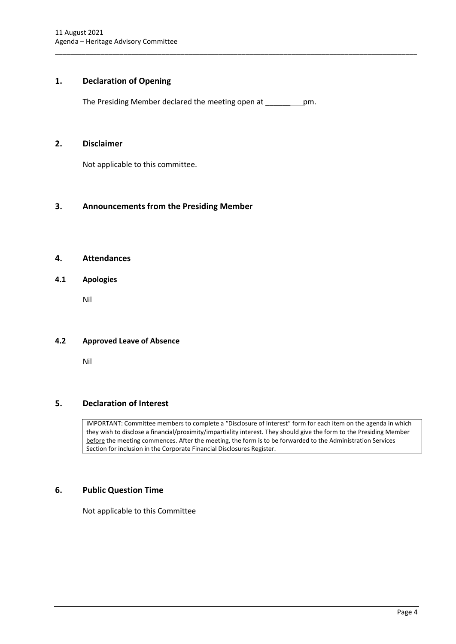## <span id="page-4-0"></span>**1. Declaration of Opening**

The Presiding Member declared the meeting open at \_\_\_\_\_\_ pm.

\_\_\_\_\_\_\_\_\_\_\_\_\_\_\_\_\_\_\_\_\_\_\_\_\_\_\_\_\_\_\_\_\_\_\_\_\_\_\_\_\_\_\_\_\_\_\_\_\_\_\_\_\_\_\_\_\_\_\_\_\_\_\_\_\_\_\_\_\_\_\_\_\_\_\_\_\_\_\_\_\_\_\_\_\_\_\_\_\_\_\_\_\_\_\_

#### <span id="page-4-1"></span>**2. Disclaimer**

Not applicable to this committee.

## <span id="page-4-2"></span>**3. Announcements from the Presiding Member**

## <span id="page-4-3"></span>**4. Attendances**

### <span id="page-4-4"></span>**4.1 Apologies**

Nil

#### <span id="page-4-5"></span>**4.2 Approved Leave of Absence**

Nil

## <span id="page-4-6"></span>**5. Declaration of Interest**

IMPORTANT: Committee members to complete a "Disclosure of Interest" form for each item on the agenda in which they wish to disclose a financial/proximity/impartiality interest. They should give the form to the Presiding Member before the meeting commences. After the meeting, the form is to be forwarded to the Administration Services Section for inclusion in the Corporate Financial Disclosures Register.

## <span id="page-4-7"></span>**6. Public Question Time**

Not applicable to this Committee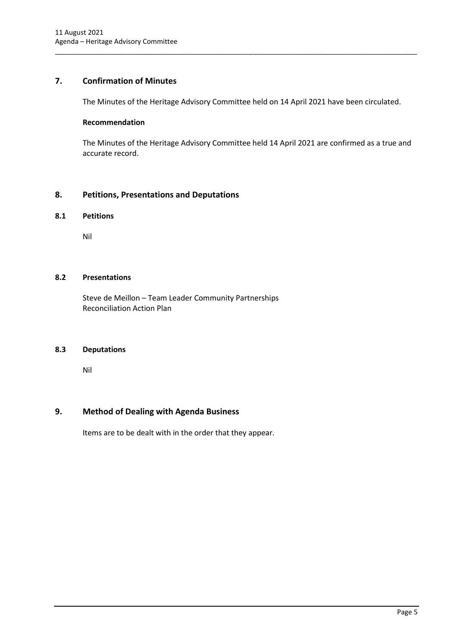## <span id="page-5-0"></span>**7. Confirmation of Minutes**

The Minutes of the Heritage Advisory Committee held on 14 April 2021 have been circulated.

\_\_\_\_\_\_\_\_\_\_\_\_\_\_\_\_\_\_\_\_\_\_\_\_\_\_\_\_\_\_\_\_\_\_\_\_\_\_\_\_\_\_\_\_\_\_\_\_\_\_\_\_\_\_\_\_\_\_\_\_\_\_\_\_\_\_\_\_\_\_\_\_\_\_\_\_\_\_\_\_\_\_\_\_\_\_\_\_\_\_\_\_\_\_\_

#### **Recommendation**

The Minutes of the Heritage Advisory Committee held 14 April 2021 are confirmed as a true and accurate record.

## <span id="page-5-1"></span>**8. Petitions, Presentations and Deputations**

#### <span id="page-5-2"></span>**8.1 Petitions**

Nil

### <span id="page-5-3"></span>**8.2 Presentations**

Steve de Meillon – Team Leader Community Partnerships Reconciliation Action Plan

## <span id="page-5-4"></span>**8.3 Deputations**

Nil

## <span id="page-5-5"></span>**9. Method of Dealing with Agenda Business**

Items are to be dealt with in the order that they appear.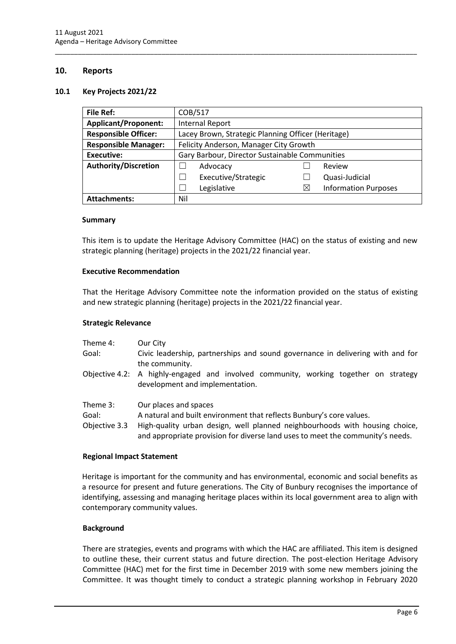#### <span id="page-6-0"></span>**10. Reports**

#### <span id="page-6-1"></span>**10.1 Key Projects 2021/22**

| <b>File Ref:</b>            | COB/517                                            |   |                             |  |
|-----------------------------|----------------------------------------------------|---|-----------------------------|--|
| <b>Applicant/Proponent:</b> | <b>Internal Report</b>                             |   |                             |  |
| <b>Responsible Officer:</b> | Lacey Brown, Strategic Planning Officer (Heritage) |   |                             |  |
| <b>Responsible Manager:</b> | Felicity Anderson, Manager City Growth             |   |                             |  |
| <b>Executive:</b>           | Gary Barbour, Director Sustainable Communities     |   |                             |  |
| <b>Authority/Discretion</b> | Advocacy                                           |   | Review                      |  |
|                             | Executive/Strategic                                |   | Quasi-Judicial              |  |
|                             | Legislative                                        | ⋉ | <b>Information Purposes</b> |  |
| <b>Attachments:</b>         | Nil                                                |   |                             |  |

\_\_\_\_\_\_\_\_\_\_\_\_\_\_\_\_\_\_\_\_\_\_\_\_\_\_\_\_\_\_\_\_\_\_\_\_\_\_\_\_\_\_\_\_\_\_\_\_\_\_\_\_\_\_\_\_\_\_\_\_\_\_\_\_\_\_\_\_\_\_\_\_\_\_\_\_\_\_\_\_\_\_\_\_\_\_\_\_\_\_\_\_\_\_\_

#### **Summary**

This item is to update the Heritage Advisory Committee (HAC) on the status of existing and new strategic planning (heritage) projects in the 2021/22 financial year.

#### **Executive Recommendation**

That the Heritage Advisory Committee note the information provided on the status of existing and new strategic planning (heritage) projects in the 2021/22 financial year.

#### **Strategic Relevance**

| Theme 4:<br>Goal:                  | Our City<br>Civic leadership, partnerships and sound governance in delivering with and for<br>the community.                                                                 |
|------------------------------------|------------------------------------------------------------------------------------------------------------------------------------------------------------------------------|
|                                    | Objective 4.2: A highly-engaged and involved community, working together on strategy<br>development and implementation.                                                      |
| Theme 3:<br>Goal:<br>Objective 3.3 | Our places and spaces<br>A natural and built environment that reflects Bunbury's core values.<br>High-quality urban design, well planned neighbourhoods with housing choice, |

and appropriate provision for diverse land uses to meet the community's needs.

#### **Regional Impact Statement**

Heritage is important for the community and has environmental, economic and social benefits as a resource for present and future generations. The City of Bunbury recognises the importance of identifying, assessing and managing heritage places within its local government area to align with contemporary community values.

#### **Background**

There are strategies, events and programs with which the HAC are affiliated. This item is designed to outline these, their current status and future direction. The post-election Heritage Advisory Committee (HAC) met for the first time in December 2019 with some new members joining the Committee. It was thought timely to conduct a strategic planning workshop in February 2020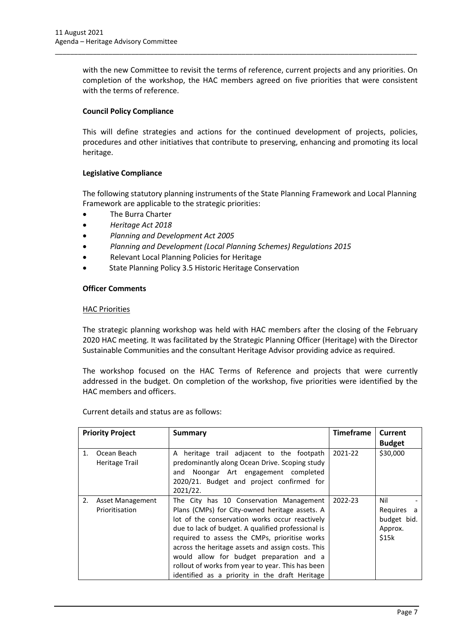with the new Committee to revisit the terms of reference, current projects and any priorities. On completion of the workshop, the HAC members agreed on five priorities that were consistent with the terms of reference.

\_\_\_\_\_\_\_\_\_\_\_\_\_\_\_\_\_\_\_\_\_\_\_\_\_\_\_\_\_\_\_\_\_\_\_\_\_\_\_\_\_\_\_\_\_\_\_\_\_\_\_\_\_\_\_\_\_\_\_\_\_\_\_\_\_\_\_\_\_\_\_\_\_\_\_\_\_\_\_\_\_\_\_\_\_\_\_\_\_\_\_\_\_\_\_

### **Council Policy Compliance**

This will define strategies and actions for the continued development of projects, policies, procedures and other initiatives that contribute to preserving, enhancing and promoting its local heritage.

#### **Legislative Compliance**

The following statutory planning instruments of the State Planning Framework and Local Planning Framework are applicable to the strategic priorities:

- The Burra Charter
- *Heritage Act 2018*
- *Planning and Development Act 2005*
- *Planning and Development (Local Planning Schemes) Regulations 2015*
- Relevant Local Planning Policies for Heritage
- State Planning Policy 3.5 Historic Heritage Conservation

#### **Officer Comments**

#### HAC Priorities

The strategic planning workshop was held with HAC members after the closing of the February 2020 HAC meeting. It was facilitated by the Strategic Planning Officer (Heritage) with the Director Sustainable Communities and the consultant Heritage Advisor providing advice as required.

The workshop focused on the HAC Terms of Reference and projects that were currently addressed in the budget. On completion of the workshop, five priorities were identified by the HAC members and officers.

**Priority Project Summary Timeframe Current Budget** 1. Ocean Beach Heritage Trail A heritage trail adjacent to the footpath predominantly along Ocean Drive. Scoping study and Noongar Art engagement completed 2020/21. Budget and project confirmed for 2021/22. 2021-22 | \$30,000 2. Asset Management Prioritisation The City has 10 Conservation Management Plans (CMPs) for City-owned heritage assets. A lot of the conservation works occur reactively due to lack of budget. A qualified professional is required to assess the CMPs, prioritise works across the heritage assets and assign costs. This would allow for budget preparation and a rollout of works from year to year. This has been identified as a priority in the draft Heritage  $2022 - 23$  | Nil Requires a budget bid. Approx. \$15k

Current details and status are as follows: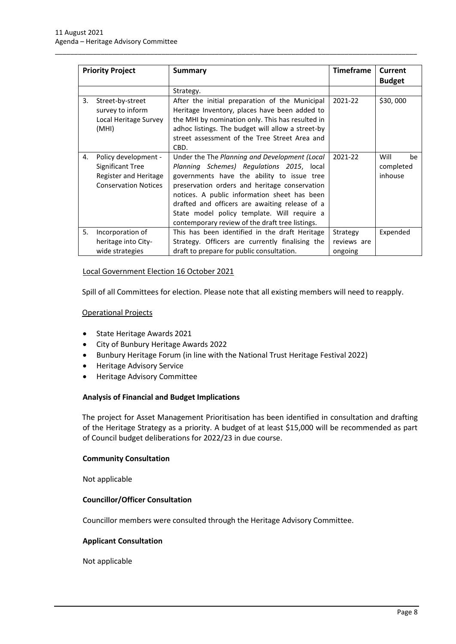| <b>Priority Project</b> |                                                                                                  | <b>Summary</b>                                                                                                                                                                                                                                                                                                                                                                                | <b>Timeframe</b>                   | Current                            |
|-------------------------|--------------------------------------------------------------------------------------------------|-----------------------------------------------------------------------------------------------------------------------------------------------------------------------------------------------------------------------------------------------------------------------------------------------------------------------------------------------------------------------------------------------|------------------------------------|------------------------------------|
|                         |                                                                                                  |                                                                                                                                                                                                                                                                                                                                                                                               |                                    | <b>Budget</b>                      |
|                         |                                                                                                  | Strategy.                                                                                                                                                                                                                                                                                                                                                                                     |                                    |                                    |
| 3.                      | Street-by-street<br>survey to inform<br>Local Heritage Survey<br>(MHI)                           | After the initial preparation of the Municipal<br>Heritage Inventory, places have been added to<br>the MHI by nomination only. This has resulted in<br>adhoc listings. The budget will allow a street-by<br>street assessment of the Tree Street Area and<br>CBD.                                                                                                                             | 2021-22                            | \$30,000                           |
| 4.                      | Policy development -<br>Significant Tree<br>Register and Heritage<br><b>Conservation Notices</b> | Under the The Planning and Development (Local<br>Planning Schemes) Regulations 2015, local<br>governments have the ability to issue tree<br>preservation orders and heritage conservation<br>notices. A public information sheet has been<br>drafted and officers are awaiting release of a<br>State model policy template. Will require a<br>contemporary review of the draft tree listings. | 2021-22                            | Will<br>be<br>completed<br>inhouse |
| 5.                      | Incorporation of<br>heritage into City-<br>wide strategies                                       | This has been identified in the draft Heritage<br>Strategy. Officers are currently finalising the<br>draft to prepare for public consultation.                                                                                                                                                                                                                                                | Strategy<br>reviews are<br>ongoing | Expended                           |

\_\_\_\_\_\_\_\_\_\_\_\_\_\_\_\_\_\_\_\_\_\_\_\_\_\_\_\_\_\_\_\_\_\_\_\_\_\_\_\_\_\_\_\_\_\_\_\_\_\_\_\_\_\_\_\_\_\_\_\_\_\_\_\_\_\_\_\_\_\_\_\_\_\_\_\_\_\_\_\_\_\_\_\_\_\_\_\_\_\_\_\_\_\_\_

#### Local Government Election 16 October 2021

Spill of all Committees for election. Please note that all existing members will need to reapply.

#### Operational Projects

- State Heritage Awards 2021
- City of Bunbury Heritage Awards 2022
- Bunbury Heritage Forum (in line with the National Trust Heritage Festival 2022)
- Heritage Advisory Service
- Heritage Advisory Committee

#### **Analysis of Financial and Budget Implications**

The project for Asset Management Prioritisation has been identified in consultation and drafting of the Heritage Strategy as a priority. A budget of at least \$15,000 will be recommended as part of Council budget deliberations for 2022/23 in due course.

#### **Community Consultation**

Not applicable

#### **Councillor/Officer Consultation**

Councillor members were consulted through the Heritage Advisory Committee.

#### **Applicant Consultation**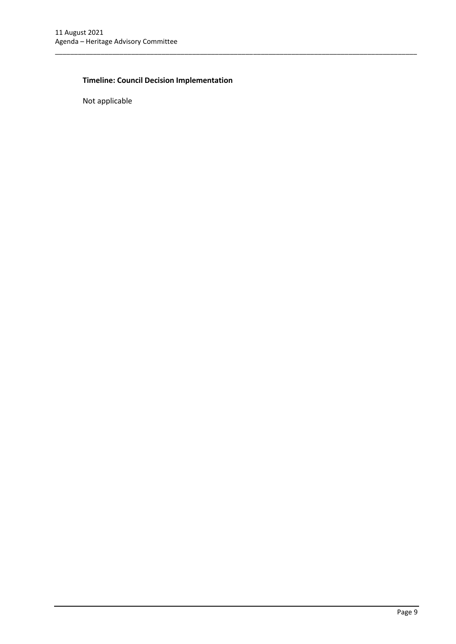## **Timeline: Council Decision Implementation**

\_\_\_\_\_\_\_\_\_\_\_\_\_\_\_\_\_\_\_\_\_\_\_\_\_\_\_\_\_\_\_\_\_\_\_\_\_\_\_\_\_\_\_\_\_\_\_\_\_\_\_\_\_\_\_\_\_\_\_\_\_\_\_\_\_\_\_\_\_\_\_\_\_\_\_\_\_\_\_\_\_\_\_\_\_\_\_\_\_\_\_\_\_\_\_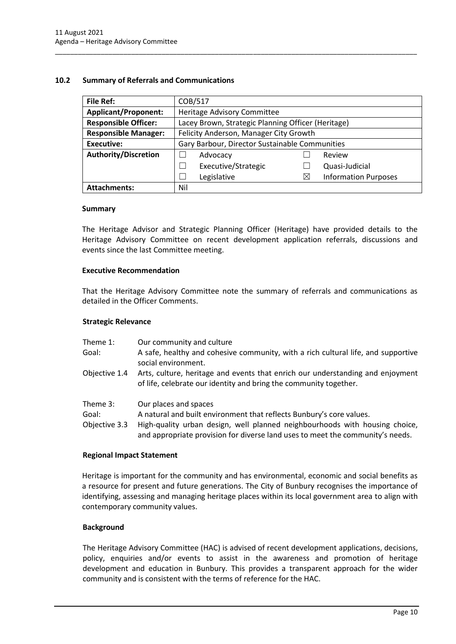#### <span id="page-10-0"></span>**10.2 Summary of Referrals and Communications**

| <b>File Ref:</b>            | COB/517                                            |          |                             |  |
|-----------------------------|----------------------------------------------------|----------|-----------------------------|--|
|                             |                                                    |          |                             |  |
| <b>Applicant/Proponent:</b> | Heritage Advisory Committee                        |          |                             |  |
| <b>Responsible Officer:</b> | Lacey Brown, Strategic Planning Officer (Heritage) |          |                             |  |
| <b>Responsible Manager:</b> | Felicity Anderson, Manager City Growth             |          |                             |  |
| <b>Executive:</b>           | Gary Barbour, Director Sustainable Communities     |          |                             |  |
| <b>Authority/Discretion</b> | Advocacy                                           |          | Review                      |  |
|                             | Executive/Strategic                                |          | Quasi-Judicial              |  |
|                             | Legislative                                        | $\times$ | <b>Information Purposes</b> |  |
| <b>Attachments:</b>         | Nil                                                |          |                             |  |

\_\_\_\_\_\_\_\_\_\_\_\_\_\_\_\_\_\_\_\_\_\_\_\_\_\_\_\_\_\_\_\_\_\_\_\_\_\_\_\_\_\_\_\_\_\_\_\_\_\_\_\_\_\_\_\_\_\_\_\_\_\_\_\_\_\_\_\_\_\_\_\_\_\_\_\_\_\_\_\_\_\_\_\_\_\_\_\_\_\_\_\_\_\_\_

#### **Summary**

The Heritage Advisor and Strategic Planning Officer (Heritage) have provided details to the Heritage Advisory Committee on recent development application referrals, discussions and events since the last Committee meeting.

#### **Executive Recommendation**

That the Heritage Advisory Committee note the summary of referrals and communications as detailed in the Officer Comments.

#### **Strategic Relevance**

| Theme 1:<br>Goal:                  | Our community and culture<br>A safe, healthy and cohesive community, with a rich cultural life, and supportive<br>social environment.                                                                                                                          |
|------------------------------------|----------------------------------------------------------------------------------------------------------------------------------------------------------------------------------------------------------------------------------------------------------------|
| Objective 1.4                      | Arts, culture, heritage and events that enrich our understanding and enjoyment<br>of life, celebrate our identity and bring the community together.                                                                                                            |
| Theme 3:<br>Goal:<br>Objective 3.3 | Our places and spaces<br>A natural and built environment that reflects Bunbury's core values.<br>High-quality urban design, well planned neighbourhoods with housing choice,<br>and appropriate provision for diverse land uses to meet the community's needs. |

#### **Regional Impact Statement**

Heritage is important for the community and has environmental, economic and social benefits as a resource for present and future generations. The City of Bunbury recognises the importance of identifying, assessing and managing heritage places within its local government area to align with contemporary community values.

#### **Background**

The Heritage Advisory Committee (HAC) is advised of recent development applications, decisions, policy, enquiries and/or events to assist in the awareness and promotion of heritage development and education in Bunbury. This provides a transparent approach for the wider community and is consistent with the terms of reference for the HAC.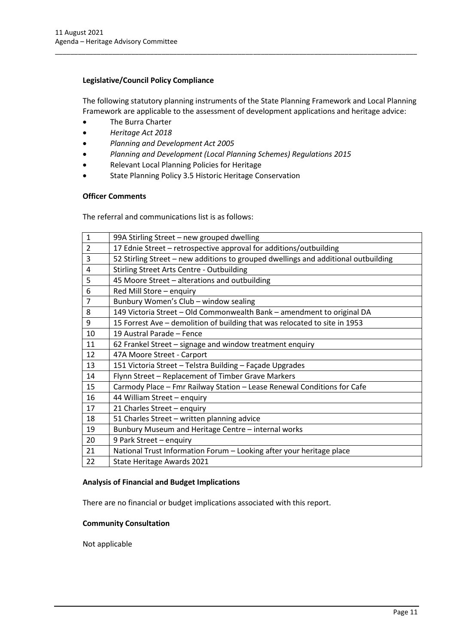### **Legislative/Council Policy Compliance**

The following statutory planning instruments of the State Planning Framework and Local Planning Framework are applicable to the assessment of development applications and heritage advice:

\_\_\_\_\_\_\_\_\_\_\_\_\_\_\_\_\_\_\_\_\_\_\_\_\_\_\_\_\_\_\_\_\_\_\_\_\_\_\_\_\_\_\_\_\_\_\_\_\_\_\_\_\_\_\_\_\_\_\_\_\_\_\_\_\_\_\_\_\_\_\_\_\_\_\_\_\_\_\_\_\_\_\_\_\_\_\_\_\_\_\_\_\_\_\_

- The Burra Charter
- *Heritage Act 2018*
- *Planning and Development Act 2005*
- *Planning and Development (Local Planning Schemes) Regulations 2015*
- Relevant Local Planning Policies for Heritage
- State Planning Policy 3.5 Historic Heritage Conservation

### **Officer Comments**

The referral and communications list is as follows:

| 99A Stirling Street - new grouped dwelling                                         |
|------------------------------------------------------------------------------------|
| 17 Ednie Street - retrospective approval for additions/outbuilding                 |
| 52 Stirling Street - new additions to grouped dwellings and additional outbuilding |
| <b>Stirling Street Arts Centre - Outbuilding</b>                                   |
| 45 Moore Street - alterations and outbuilding                                      |
| Red Mill Store - enquiry                                                           |
| Bunbury Women's Club - window sealing                                              |
| 149 Victoria Street - Old Commonwealth Bank - amendment to original DA             |
| 15 Forrest Ave – demolition of building that was relocated to site in 1953         |
| 19 Austral Parade - Fence                                                          |
| 62 Frankel Street - signage and window treatment enquiry                           |
| 47A Moore Street - Carport                                                         |
| 151 Victoria Street - Telstra Building - Façade Upgrades                           |
| Flynn Street - Replacement of Timber Grave Markers                                 |
| Carmody Place - Fmr Railway Station - Lease Renewal Conditions for Cafe            |
| 44 William Street - enquiry                                                        |
| 21 Charles Street - enquiry                                                        |
| 51 Charles Street - written planning advice                                        |
| Bunbury Museum and Heritage Centre - internal works                                |
| 9 Park Street - enquiry                                                            |
| National Trust Information Forum - Looking after your heritage place               |
| State Heritage Awards 2021                                                         |
|                                                                                    |

#### **Analysis of Financial and Budget Implications**

There are no financial or budget implications associated with this report.

#### **Community Consultation**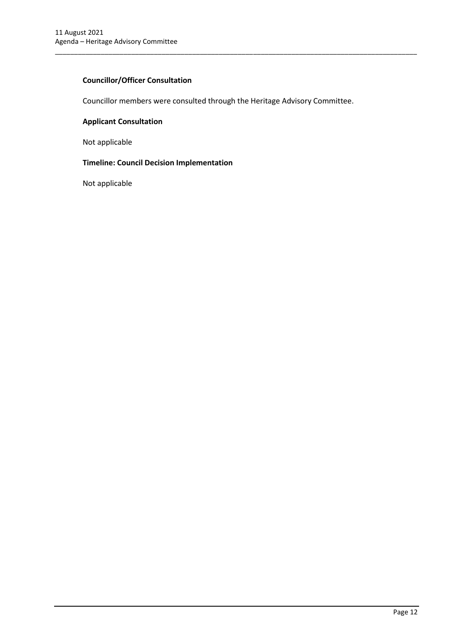### **Councillor/Officer Consultation**

Councillor members were consulted through the Heritage Advisory Committee.

\_\_\_\_\_\_\_\_\_\_\_\_\_\_\_\_\_\_\_\_\_\_\_\_\_\_\_\_\_\_\_\_\_\_\_\_\_\_\_\_\_\_\_\_\_\_\_\_\_\_\_\_\_\_\_\_\_\_\_\_\_\_\_\_\_\_\_\_\_\_\_\_\_\_\_\_\_\_\_\_\_\_\_\_\_\_\_\_\_\_\_\_\_\_\_

### **Applicant Consultation**

Not applicable

## **Timeline: Council Decision Implementation**